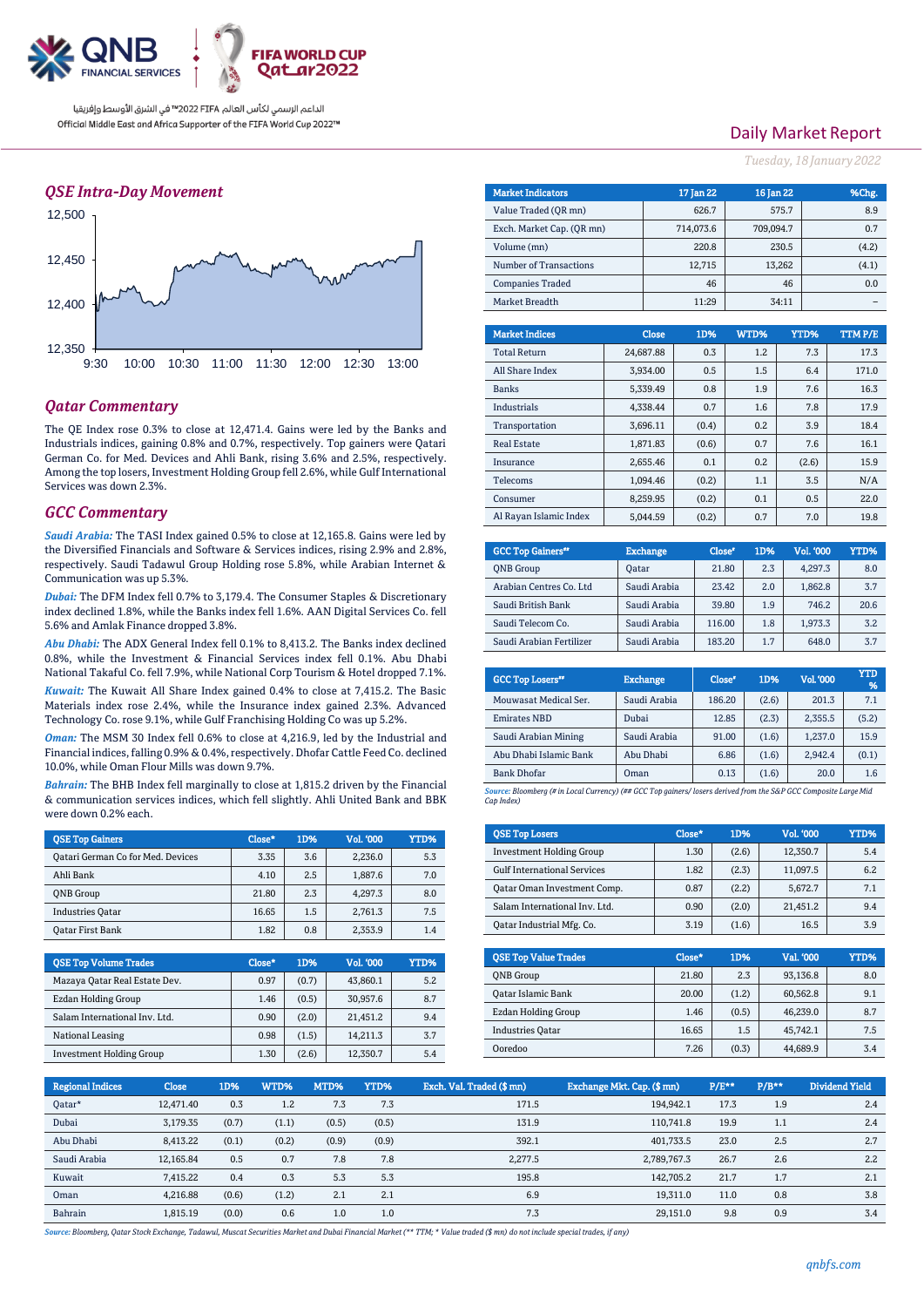

### *QSE Intra-Day Movement*



## *Qatar Commentary*

The QE Index rose 0.3% to close at 12,471.4. Gains were led by the Banks and Industrials indices, gaining 0.8% and 0.7%, respectively. Top gainers were Qatari German Co. for Med. Devices and Ahli Bank, rising 3.6% and 2.5%, respectively. Among the top losers, Investment Holding Group fell 2.6%, while Gulf International Services was down 2.3%.

#### *GCC Commentary*

*Saudi Arabia:* The TASI Index gained 0.5% to close at 12,165.8. Gains were led by the Diversified Financials and Software & Services indices, rising 2.9% and 2.8%, respectively. Saudi Tadawul Group Holding rose 5.8%, while Arabian Internet & Communication was up 5.3%.

*Dubai:* The DFM Index fell 0.7% to 3,179.4. The Consumer Staples & Discretionary index declined 1.8%, while the Banks index fell 1.6%. AAN Digital Services Co. fell 5.6% and Amlak Finance dropped 3.8%.

*Abu Dhabi:* The ADX General Index fell 0.1% to 8,413.2. The Banks index declined 0.8%, while the Investment & Financial Services index fell 0.1%. Abu Dhabi National Takaful Co. fell 7.9%, while National Corp Tourism & Hotel dropped 7.1%.

*Kuwait:* The Kuwait All Share Index gained 0.4% to close at 7,415.2. The Basic Materials index rose 2.4%, while the Insurance index gained 2.3%. Advanced Technology Co. rose 9.1%, while Gulf Franchising Holding Co was up 5.2%.

*Oman:* The MSM 30 Index fell 0.6% to close at 4,216.9, led by the Industrial and Financial indices, falling 0.9% & 0.4%, respectively. Dhofar Cattle Feed Co. declined 10.0%, while Oman Flour Mills was down 9.7%.

*Bahrain:* The BHB Index fell marginally to close at 1,815.2 driven by the Financial & communication services indices, which fell slightly. Ahli United Bank and BBK were down 0.2% each.

| <b>OSE Top Gainers</b>            | Close* | 1D% | Vol. '000 | YTD% |
|-----------------------------------|--------|-----|-----------|------|
| Oatari German Co for Med. Devices | 3.35   | 3.6 | 2.236.0   | 5.3  |
| Ahli Bank                         | 4.10   | 2.5 | 1.887.6   | 7.0  |
| QNB Group                         | 21.80  | 2.3 | 4.297.3   | 8.0  |
| <b>Industries Oatar</b>           | 16.65  | 1.5 | 2,761.3   | 7.5  |
| Oatar First Bank                  | 1.82   | 0.8 | 2.353.9   | 1.4  |

| <b>OSE Top Volume Trades</b>    | Close* | 1D%   | Vol. '000 | YTD% |
|---------------------------------|--------|-------|-----------|------|
| Mazaya Qatar Real Estate Dev.   | 0.97   | (0.7) | 43,860.1  | 5.2  |
| Ezdan Holding Group             | 1.46   | (0.5) | 30,957.6  | 8.7  |
| Salam International Inv. Ltd.   | 0.90   | (2.0) | 21,451.2  | 9.4  |
| National Leasing                | 0.98   | (1.5) | 14,211.3  | 3.7  |
| <b>Investment Holding Group</b> | 1.30   | (2.6) | 12,350.7  | 5.4  |

## Daily Market Report

*Tuesday, 18 January2022*

| <b>Market Indicators</b>  | 17 Jan 22       | 16 Jan 22       | %Chg.                     |
|---------------------------|-----------------|-----------------|---------------------------|
| Value Traded (OR mn)      | 626.7           | 575.7           | 8.9                       |
| Exch. Market Cap. (OR mn) | 714,073.6       | 709,094.7       | 0.7                       |
| Volume (mn)               | 220.8           | 230.5           | (4.2)                     |
| Number of Transactions    | 12,715          | 13,262          | (4.1)                     |
| <b>Companies Traded</b>   | 46              | 46              | 0.0                       |
| Market Breadth            | 11:29           | 34:11           |                           |
|                           |                 |                 |                           |
| Market Indiana            | Close<br>1 De 4 | <b>TAPT DOL</b> | ם/ס אידיי<br><b>VTD04</b> |

| <b>Market Indices</b>  | Close,    | 1D%   | WTD% | YTD%  | TTM P/E |
|------------------------|-----------|-------|------|-------|---------|
| <b>Total Return</b>    | 24,687.88 | 0.3   | 1.2  | 7.3   | 17.3    |
| All Share Index        | 3,934.00  | 0.5   | 1.5  | 6.4   | 171.0   |
| <b>Banks</b>           | 5,339.49  | 0.8   | 1.9  | 7.6   | 16.3    |
| <b>Industrials</b>     | 4.338.44  | 0.7   | 1.6  | 7.8   | 17.9    |
| Transportation         | 3,696.11  | (0.4) | 0.2  | 3.9   | 18.4    |
| <b>Real Estate</b>     | 1.871.83  | (0.6) | 0.7  | 7.6   | 16.1    |
| Insurance              | 2,655.46  | 0.1   | 0.2  | (2.6) | 15.9    |
| Telecoms               | 1.094.46  | (0.2) | 1.1  | 3.5   | N/A     |
| Consumer               | 8,259.95  | (0.2) | 0.1  | 0.5   | 22.0    |
| Al Ravan Islamic Index | 5.044.59  | (0.2) | 0.7  | 7.0   | 19.8    |

| <b>GCC Top Gainers</b> <sup>88</sup> | <b>Exchange</b> | Close <sup>s</sup> | 1D% | <b>Vol. '000</b> | YTD% |
|--------------------------------------|-----------------|--------------------|-----|------------------|------|
| <b>ONB</b> Group                     | Oatar           | 21.80              | 2.3 | 4.297.3          | 8.0  |
| Arabian Centres Co. Ltd.             | Saudi Arabia    | 23.42              | 2.0 | 1.862.8          | 3.7  |
| Saudi British Bank                   | Saudi Arabia    | 39.80              | 1.9 | 746.2            | 20.6 |
| Saudi Telecom Co.                    | Saudi Arabia    | 116.00             | 1.8 | 1.973.3          | 3.2  |
| Saudi Arabian Fertilizer             | Saudi Arabia    | 183.20             | 1.7 | 648.0            | 3.7  |

| <b>GCC Top Losers</b> " | <b>Exchange</b> | Close* | 1D%   | <b>Vol. '000</b> | YTD<br>% |
|-------------------------|-----------------|--------|-------|------------------|----------|
| Mouwasat Medical Ser.   | Saudi Arabia    | 186.20 | (2.6) | 201.3            | 7.1      |
| <b>Emirates NBD</b>     | Dubai           | 12.85  | (2.3) | 2.355.5          | (5.2)    |
| Saudi Arabian Mining    | Saudi Arabia    | 91.00  | (1.6) | 1.237.0          | 15.9     |
| Abu Dhabi Islamic Bank  | Abu Dhabi       | 6.86   | (1.6) | 2.942.4          | (0.1)    |
| <b>Bank Dhofar</b>      | Oman            | 0.13   | (1.6) | 20.0             | 1.6      |
|                         |                 |        |       |                  |          |

*Source: Bloomberg (# in Local Currency) (## GCC Top gainers/ losers derived from the S&P GCC Composite Large Mid Cap Index)*

| <b>QSE Top Losers</b>              | Close* | 1D%   | Vol. '000 | YTD% |
|------------------------------------|--------|-------|-----------|------|
| <b>Investment Holding Group</b>    | 1.30   | (2.6) | 12,350.7  | 5.4  |
| <b>Gulf International Services</b> | 1.82   | (2.3) | 11.097.5  | 6.2  |
| Oatar Oman Investment Comp.        | 0.87   | (2.2) | 5.672.7   | 7.1  |
| Salam International Inv. Ltd.      | 0.90   | (2.0) | 21.451.2  | 9.4  |
| Oatar Industrial Mfg. Co.          | 3.19   | (1.6) | 16.5      | 3.9  |

| <b>OSE Top Value Trades</b> | Close* | 1D%   | Val. '000 | <b>YTD%</b> |
|-----------------------------|--------|-------|-----------|-------------|
| <b>ONB</b> Group            | 21.80  | 2.3   | 93.136.8  | 8.0         |
| Oatar Islamic Bank          | 20.00  | (1.2) | 60.562.8  | 9.1         |
| Ezdan Holding Group         | 1.46   | (0.5) | 46.239.0  | 8.7         |
| <b>Industries Oatar</b>     | 16.65  | 1.5   | 45.742.1  | 7.5         |
| Ooredoo                     | 7.26   | (0.3) | 44,689.9  | 3.4         |

| <b>Regional Indices</b> | <b>Close</b> | 1D%   | WTD%  | MTD%  | YTD%  | Exch. Val. Traded (\$ mn) | Exchange Mkt. Cap. (\$ mn), | $P/E***$ | $P/B**$ | Dividend Yield |
|-------------------------|--------------|-------|-------|-------|-------|---------------------------|-----------------------------|----------|---------|----------------|
| Qatar*                  | 12.471.40    | 0.3   | 1.2   | 7.3   | 7.3   | 171.5                     | 194.942.1                   | 17.3     | 1.9     | 2.4            |
| Dubai                   | 3,179.35     | (0.7) | (1.1) | (0.5) | (0.5) | 131.9                     | 110.741.8                   | 19.9     | 1.1     | 2.4            |
| Abu Dhabi               | 8.413.22     | (0.1) | (0.2) | (0.9) | (0.9) | 392.1                     | 401.733.5                   | 23.0     | 2.5     | 2.7            |
| Saudi Arabia            | 12.165.84    | 0.5   | 0.7   | 7.8   | 7.8   | 2.277.5                   | 2,789,767.3                 | 26.7     | 2.6     | 2.2            |
| Kuwait                  | 7.415.22     | 0.4   | 0.3   | 5.3   | 5.3   | 195.8                     | 142,705.2                   | 21.7     | 1.7     | 2.1            |
| Oman                    | 4,216.88     | (0.6) | (1.2) | 2.1   | 2.1   | 6.9                       | 19.311.0                    | 11.0     | 0.8     | 3.8            |
| Bahrain                 | 1.815.19     | (0.0) | 0.6   | 1.0   | 1.0   | 7.3                       | 29.151.0                    | 9.8      | 0.9     | 3.4            |

*Source: Bloomberg, Qatar Stock Exchange, Tadawul, Muscat Securities Market and Dubai Financial Market (\*\* TTM; \* Value traded (\$ mn) do not include special trades, if any)*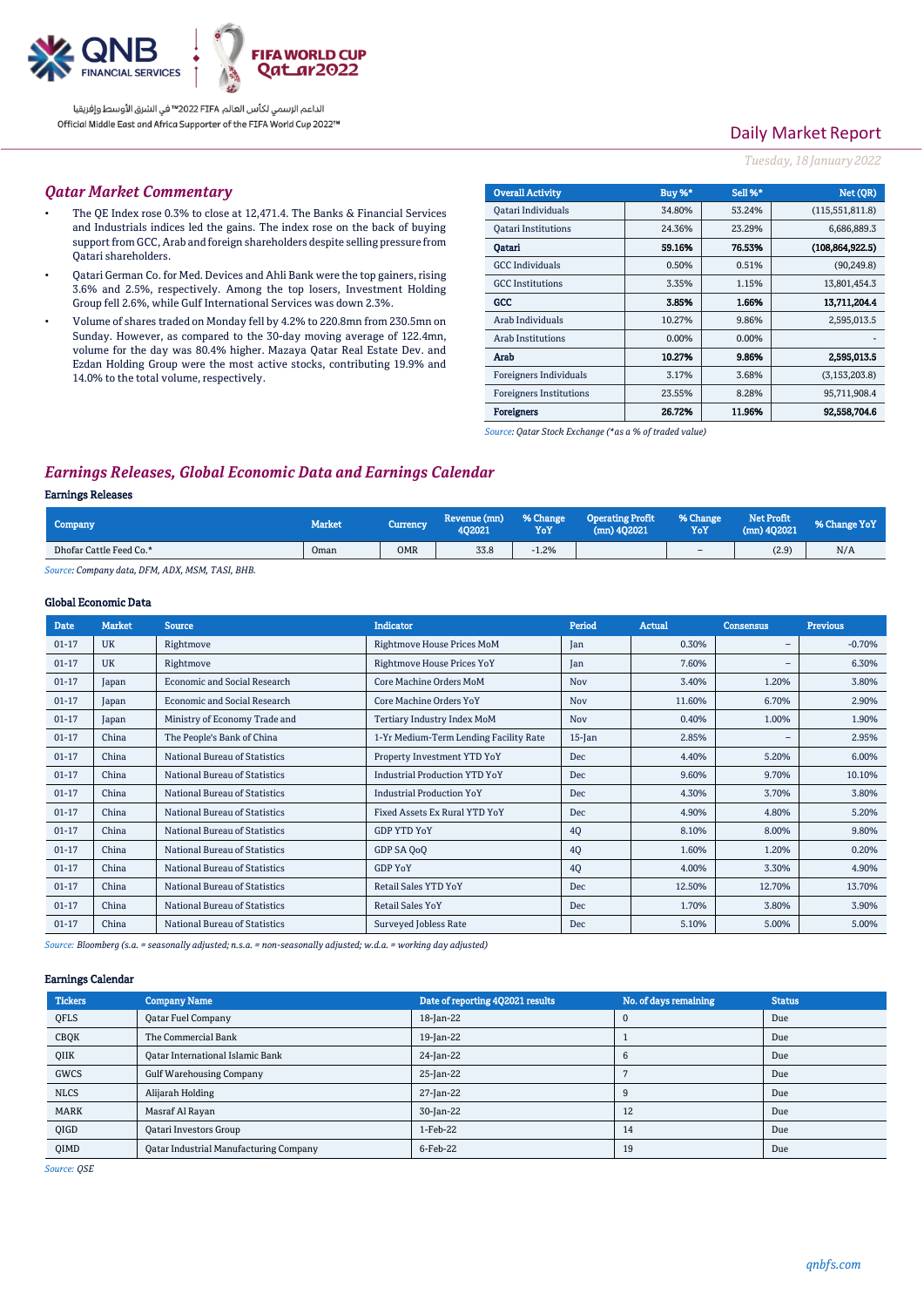

# Daily Market Report

#### *Tuesday, 18 January2022*

#### *Qatar Market Commentary*

- The QE Index rose 0.3% to close at 12,471.4. The Banks & Financial Services and Industrials indices led the gains. The index rose on the back of buying support from GCC, Arab and foreign shareholders despite selling pressure from Qatari shareholders.
- Qatari German Co. for Med. Devices and Ahli Bank were the top gainers, rising 3.6% and 2.5%, respectively. Among the top losers, Investment Holding Group fell 2.6%, while Gulf International Services was down 2.3%.
- Volume of shares traded on Monday fell by 4.2% to 220.8mn from 230.5mn on Sunday. However, as compared to the 30-day moving average of 122.4mn, volume for the day was 80.4% higher. Mazaya Qatar Real Estate Dev. and Ezdan Holding Group were the most active stocks, contributing 19.9% and 14.0% to the total volume, respectively.

| <b>Overall Activity</b>        | Buy %* | Sell %* | Net (QR)          |
|--------------------------------|--------|---------|-------------------|
| Qatari Individuals             | 34.80% | 53.24%  | (115, 551, 811.8) |
| <b>Oatari Institutions</b>     | 24.36% | 23.29%  | 6,686,889.3       |
| Oatari                         | 59.16% | 76.53%  | (108.864.922.5)   |
| <b>GCC</b> Individuals         | 0.50%  | 0.51%   | (90, 249.8)       |
| <b>GCC</b> Institutions        | 3.35%  | 1.15%   | 13,801,454.3      |
| GCC                            | 3.85%  | 1.66%   | 13,711,204.4      |
| Arab Individuals               | 10.27% | 9.86%   | 2,595,013.5       |
| Arab Institutions              | 0.00%  | 0.00%   |                   |
| Arab                           | 10.27% | 9.86%   | 2.595,013.5       |
| Foreigners Individuals         | 3.17%  | 3.68%   | (3, 153, 203.8)   |
| <b>Foreigners Institutions</b> | 23.55% | 8.28%   | 95,711,908.4      |
| <b>Foreigners</b>              | 26.72% | 11.96%  | 92,558,704.6      |

*Source: Qatar Stock Exchange (\*as a % of traded value)*

## *Earnings Releases, Global Economic Data and Earnings Calendar*

#### Earnings Releases

| Company                 | Market. | <b>Currency</b> | Revenue (mn)<br>402021 | % Change<br>YoY | <b>Operating Profit</b><br>$(mn)$ 402021 | % Change<br>YoY | <b>Net Profit</b><br>$(mn)$ 402021 | % Change YoY |
|-------------------------|---------|-----------------|------------------------|-----------------|------------------------------------------|-----------------|------------------------------------|--------------|
| Dhofar Cattle Feed Co.* | Oman    | <b>OMR</b>      | 33.8                   | $-1.2%$         |                                          | $\sim$          | (2.9)                              | N/A          |

*Source: Company data, DFM, ADX, MSM, TASI, BHB.* 

### Global Economic Data

| <b>Date</b> | <b>Market</b> | <b>Source</b>                       | <b>Indicator</b>                       | Period     | <b>Actual</b> | <b>Consensus</b>         | <b>Previous</b> |
|-------------|---------------|-------------------------------------|----------------------------------------|------------|---------------|--------------------------|-----------------|
| $01 - 17$   | <b>UK</b>     | Rightmove                           | Rightmove House Prices MoM             | Jan        | 0.30%         | $\overline{\phantom{0}}$ | $-0.70%$        |
| $01 - 17$   | <b>UK</b>     | Rightmove                           | Rightmove House Prices YoY             | Jan        | 7.60%         | $\overline{\phantom{0}}$ | 6.30%           |
| $01 - 17$   | Japan         | <b>Economic and Social Research</b> | Core Machine Orders MoM                | <b>Nov</b> | 3.40%         | 1.20%                    | 3.80%           |
| $01 - 17$   | Japan         | <b>Economic and Social Research</b> | Core Machine Orders YoY                | <b>Nov</b> | 11.60%        | 6.70%                    | 2.90%           |
| $01-17$     | Japan         | Ministry of Economy Trade and       | Tertiary Industry Index MoM            | <b>Nov</b> | 0.40%         | 1.00%                    | 1.90%           |
| $01 - 17$   | China         | The People's Bank of China          | 1-Yr Medium-Term Lending Facility Rate | $15$ -Jan  | 2.85%         | $\qquad \qquad -$        | 2.95%           |
| $01 - 17$   | China         | National Bureau of Statistics       | Property Investment YTD YoY            | Dec        | 4.40%         | 5.20%                    | 6.00%           |
| $01 - 17$   | China         | National Bureau of Statistics       | <b>Industrial Production YTD YoY</b>   | Dec        | 9.60%         | 9.70%                    | 10.10%          |
| $01 - 17$   | China         | National Bureau of Statistics       | <b>Industrial Production YoY</b>       | Dec        | 4.30%         | 3.70%                    | 3.80%           |
| $01 - 17$   | China         | National Bureau of Statistics       | Fixed Assets Ex Rural YTD YoY          | Dec        | 4.90%         | 4.80%                    | 5.20%           |
| $01 - 17$   | China         | National Bureau of Statistics       | <b>GDP YTD YoY</b>                     | 4Q         | 8.10%         | 8.00%                    | 9.80%           |
| $01 - 17$   | China         | National Bureau of Statistics       | GDP SA QoQ                             | 4Q         | 1.60%         | 1.20%                    | 0.20%           |
| $01 - 17$   | China         | National Bureau of Statistics       | <b>GDP YoY</b>                         | 4Q         | 4.00%         | 3.30%                    | 4.90%           |
| $01 - 17$   | China         | National Bureau of Statistics       | Retail Sales YTD YoY                   | Dec        | 12.50%        | 12.70%                   | 13.70%          |
| $01 - 17$   | China         | National Bureau of Statistics       | <b>Retail Sales YoY</b>                | Dec        | 1.70%         | 3.80%                    | 3.90%           |
| $01 - 17$   | China         | National Bureau of Statistics       | <b>Surveyed Jobless Rate</b>           | Dec        | 5.10%         | 5.00%                    | 5.00%           |

*Source: Bloomberg (s.a. = seasonally adjusted; n.s.a. = non-seasonally adjusted; w.d.a. = working day adjusted)*

### Earnings Calendar

| <b>Tickers</b> | <b>Company Name</b>                           | Date of reporting 4Q2021 results | No. of days remaining | <b>Status</b> |
|----------------|-----------------------------------------------|----------------------------------|-----------------------|---------------|
| QFLS           | Qatar Fuel Company                            | 18-Jan-22                        | $\Omega$              | Due           |
| CBQK           | The Commercial Bank                           | 19-Jan-22                        |                       | Due           |
| QIIK           | <b>Qatar International Islamic Bank</b>       | 24-Jan-22                        | b                     | Due           |
| GWCS           | <b>Gulf Warehousing Company</b>               | 25-Jan-22                        |                       | Due           |
| <b>NLCS</b>    | Alijarah Holding                              | 27-Jan-22                        | 9                     | Due           |
| <b>MARK</b>    | Masraf Al Rayan                               | 30-Jan-22                        | 12                    | Due           |
| QIGD           | <b>Qatari Investors Group</b>                 | 1-Feb-22                         | 14                    | Due           |
| <b>OIMD</b>    | <b>Qatar Industrial Manufacturing Company</b> | 6-Feb-22                         | 19                    | Due           |

*Source: QSE*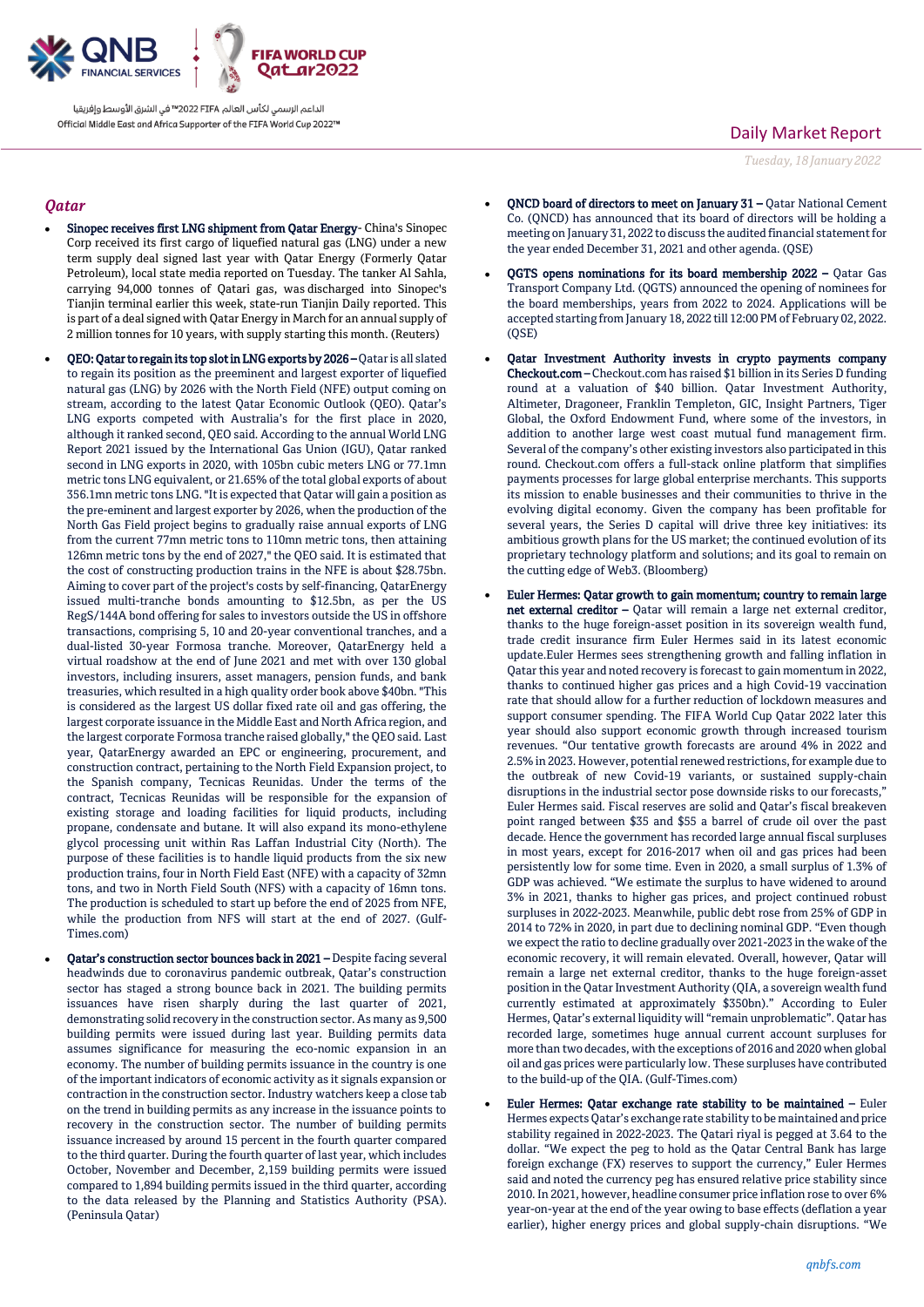

## *Qatar*

- Sinopec receives first LNG shipment from Qatar Energy- China's Sinopec Corp received its first cargo of liquefied natural gas (LNG) under a new term supply deal signed last year with Qatar Energy (Formerly Qatar Petroleum), local state media reported on Tuesday. The tanker Al Sahla, carrying 94,000 tonnes of Qatari gas, was discharged into Sinopec's Tianjin terminal earlier this week, state-run Tianjin Daily reported. This is part of a deal signed with Qatar Energy in March for an annual supply of 2 million tonnes for 10 years, with supply starting this month. (Reuters)
- QEO: Qatar to regain its top slot in LNG exports by 2026 Qatar is all slated to regain its position as the preeminent and largest exporter of liquefied natural gas (LNG) by 2026 with the North Field (NFE) output coming on stream, according to the latest Qatar Economic Outlook (QEO). Qatar's LNG exports competed with Australia's for the first place in 2020, although it ranked second, QEO said. According to the annual World LNG Report 2021 issued by the International Gas Union (IGU), Qatar ranked second in LNG exports in 2020, with 105bn cubic meters LNG or 77.1mn metric tons LNG equivalent, or 21.65% of the total global exports of about 356.1mn metric tons LNG. "It is expected that Qatar will gain a position as the pre-eminent and largest exporter by 2026, when the production of the North Gas Field project begins to gradually raise annual exports of LNG from the current 77mn metric tons to 110mn metric tons, then attaining 126mn metric tons by the end of 2027," the QEO said. It is estimated that the cost of constructing production trains in the NFE is about \$28.75bn. Aiming to cover part of the project's costs by self-financing, QatarEnergy issued multi-tranche bonds amounting to \$12.5bn, as per the US RegS/144A bond offering for sales to investors outside the US in offshore transactions, comprising 5, 10 and 20-year conventional tranches, and a dual-listed 30-year Formosa tranche. Moreover, QatarEnergy held a virtual roadshow at the end of June 2021 and met with over 130 global investors, including insurers, asset managers, pension funds, and bank treasuries, which resulted in a high quality order book above \$40bn. "This is considered as the largest US dollar fixed rate oil and gas offering, the largest corporate issuance in the Middle East and North Africa region, and the largest corporate Formosa tranche raised globally," the QEO said. Last year, QatarEnergy awarded an EPC or engineering, procurement, and construction contract, pertaining to the North Field Expansion project, to the Spanish company, Tecnicas Reunidas. Under the terms of the contract, Tecnicas Reunidas will be responsible for the expansion of existing storage and loading facilities for liquid products, including propane, condensate and butane. It will also expand its mono-ethylene glycol processing unit within Ras Laffan Industrial City (North). The purpose of these facilities is to handle liquid products from the six new production trains, four in North Field East (NFE) with a capacity of 32mn tons, and two in North Field South (NFS) with a capacity of 16mn tons. The production is scheduled to start up before the end of 2025 from NFE, while the production from NFS will start at the end of 2027. (Gulf-Times.com)
	- Qatar's construction sector bounces back in 2021 Despite facing several headwinds due to coronavirus pandemic outbreak, Qatar's construction sector has staged a strong bounce back in 2021. The building permits issuances have risen sharply during the last quarter of 2021, demonstrating solid recovery in the construction sector. As many as 9,500 building permits were issued during last year. Building permits data assumes significance for measuring the eco-nomic expansion in an economy. The number of building permits issuance in the country is one of the important indicators of economic activity as it signals expansion or contraction in the construction sector. Industry watchers keep a close tab on the trend in building permits as any increase in the issuance points to recovery in the construction sector. The number of building permits issuance increased by around 15 percent in the fourth quarter compared to the third quarter. During the fourth quarter of last year, which includes October, November and December, 2,159 building permits were issued compared to 1,894 building permits issued in the third quarter, according to the data released by the Planning and Statistics Authority (PSA). (Peninsula Qatar)

# Daily Market Report

*Tuesday, 18 January2022*

- QNCD board of directors to meet on January 31 Qatar National Cement Co. (QNCD) has announced that its board of directors will be holding a meeting on January 31, 2022 to discuss the audited financial statement for the year ended December 31, 2021 and other agenda. (QSE)
- QGTS opens nominations for its board membership 2022 Qatar Gas Transport Company Ltd. (QGTS) announced the opening of nominees for the board memberships, years from 2022 to 2024. Applications will be accepted starting from January 18, 2022 till 12:00 PM of February 02, 2022. (QSE)
- Qatar Investment Authority invests in crypto payments company Checkout.com – Checkout.com has raised \$1 billion in its Series D funding round at a valuation of \$40 billion. Qatar Investment Authority, Altimeter, Dragoneer, Franklin Templeton, GIC, Insight Partners, Tiger Global, the Oxford Endowment Fund, where some of the investors, in addition to another large west coast mutual fund management firm. Several of the company's other existing investors also participated in this round. Checkout.com offers a full-stack online platform that simplifies payments processes for large global enterprise merchants. This supports its mission to enable businesses and their communities to thrive in the evolving digital economy. Given the company has been profitable for several years, the Series D capital will drive three key initiatives: its ambitious growth plans for the US market; the continued evolution of its proprietary technology platform and solutions; and its goal to remain on the cutting edge of Web3. (Bloomberg)
- Euler Hermes: Qatar growth to gain momentum; country to remain large net external creditor – Qatar will remain a large net external creditor, thanks to the huge foreign-asset position in its sovereign wealth fund, trade credit insurance firm Euler Hermes said in its latest economic update.Euler Hermes sees strengthening growth and falling inflation in Qatar this year and noted recovery is forecast to gain momentum in 2022, thanks to continued higher gas prices and a high Covid-19 vaccination rate that should allow for a further reduction of lockdown measures and support consumer spending. The FIFA World Cup Qatar 2022 later this year should also support economic growth through increased tourism revenues. "Our tentative growth forecasts are around 4% in 2022 and 2.5% in 2023. However, potential renewed restrictions, for example due to the outbreak of new Covid-19 variants, or sustained supply-chain disruptions in the industrial sector pose downside risks to our forecasts," Euler Hermes said. Fiscal reserves are solid and Qatar's fiscal breakeven point ranged between \$35 and \$55 a barrel of crude oil over the past decade. Hence the government has recorded large annual fiscal surpluses in most years, except for 2016-2017 when oil and gas prices had been persistently low for some time. Even in 2020, a small surplus of 1.3% of GDP was achieved. "We estimate the surplus to have widened to around 3% in 2021, thanks to higher gas prices, and project continued robust surpluses in 2022-2023. Meanwhile, public debt rose from 25% of GDP in 2014 to 72% in 2020, in part due to declining nominal GDP. "Even though we expect the ratio to decline gradually over 2021-2023 in the wake of the economic recovery, it will remain elevated. Overall, however, Qatar will remain a large net external creditor, thanks to the huge foreign-asset position in the Qatar Investment Authority (QIA, a sovereign wealth fund currently estimated at approximately \$350bn)." According to Euler Hermes, Qatar's external liquidity will "remain unproblematic". Qatar has recorded large, sometimes huge annual current account surpluses for more than two decades, with the exceptions of 2016 and 2020 when global oil and gas prices were particularly low. These surpluses have contributed to the build-up of the QIA. (Gulf-Times.com)
- Euler Hermes: Qatar exchange rate stability to be maintained Euler Hermes expects Qatar's exchange rate stability to be maintained and price stability regained in 2022-2023. The Qatari riyal is pegged at 3.64 to the dollar. "We expect the peg to hold as the Qatar Central Bank has large foreign exchange (FX) reserves to support the currency," Euler Hermes said and noted the currency peg has ensured relative price stability since 2010. In 2021, however, headline consumer price inflation rose to over 6% year-on-year at the end of the year owing to base effects (deflation a year earlier), higher energy prices and global supply-chain disruptions. "We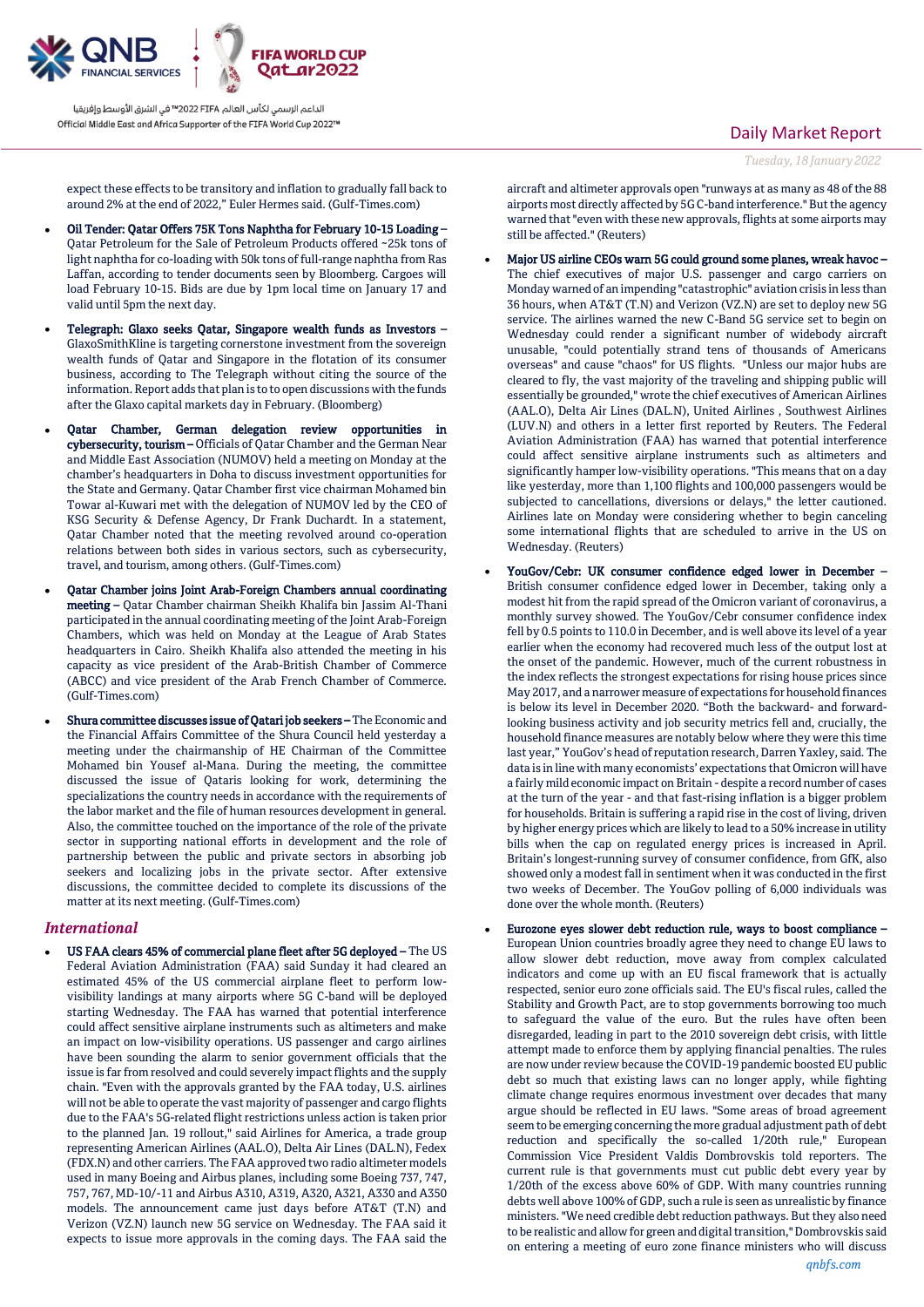

expect these effects to be transitory and inflation to gradually fall back to around 2% at the end of 2022," Euler Hermes said. (Gulf-Times.com)

- Oil Tender: Qatar Offers 75K Tons Naphtha for February 10-15 Loading Qatar Petroleum for the Sale of Petroleum Products offered ~25k tons of light naphtha for co-loading with 50k tons of full-range naphtha from Ras Laffan, according to tender documents seen by Bloomberg. Cargoes will load February 10-15. Bids are due by 1pm local time on January 17 and valid until 5pm the next day.
- Telegraph: Glaxo seeks Qatar, Singapore wealth funds as Investors GlaxoSmithKline is targeting cornerstone investment from the sovereign wealth funds of Qatar and Singapore in the flotation of its consumer business, according to The Telegraph without citing the source of the information. Report adds that plan is to to open discussions with the funds after the Glaxo capital markets day in February. (Bloomberg)
- Qatar Chamber, German delegation review opportunities in cybersecurity, tourism – Officials of Qatar Chamber and the German Near and Middle East Association (NUMOV) held a meeting on Monday at the chamber's headquarters in Doha to discuss investment opportunities for the State and Germany. Qatar Chamber first vice chairman Mohamed bin Towar al-Kuwari met with the delegation of NUMOV led by the CEO of KSG Security & Defense Agency, Dr Frank Duchardt. In a statement, Qatar Chamber noted that the meeting revolved around co-operation relations between both sides in various sectors, such as cybersecurity, travel, and tourism, among others. (Gulf-Times.com)
- Qatar Chamber joins Joint Arab-Foreign Chambers annual coordinating meeting – Qatar Chamber chairman Sheikh Khalifa bin Jassim Al-Thani participated in the annual coordinating meeting of the Joint Arab-Foreign Chambers, which was held on Monday at the League of Arab States headquarters in Cairo. Sheikh Khalifa also attended the meeting in his capacity as vice president of the Arab-British Chamber of Commerce (ABCC) and vice president of the Arab French Chamber of Commerce. (Gulf-Times.com)
- Shura committee discusses issue of Qatari job seekers The Economic and the Financial Affairs Committee of the Shura Council held yesterday a meeting under the chairmanship of HE Chairman of the Committee Mohamed bin Yousef al-Mana. During the meeting, the committee discussed the issue of Qataris looking for work, determining the specializations the country needs in accordance with the requirements of the labor market and the file of human resources development in general. Also, the committee touched on the importance of the role of the private sector in supporting national efforts in development and the role of partnership between the public and private sectors in absorbing job seekers and localizing jobs in the private sector. After extensive discussions, the committee decided to complete its discussions of the matter at its next meeting. (Gulf-Times.com)

#### *International*

 US FAA clears 45% of commercial plane fleet after 5G deployed – The US Federal Aviation Administration (FAA) said Sunday it had cleared an estimated 45% of the US commercial airplane fleet to perform lowvisibility landings at many airports where 5G C-band will be deployed starting Wednesday. The FAA has warned that potential interference could affect sensitive airplane instruments such as altimeters and make an impact on low-visibility operations. US passenger and cargo airlines have been sounding the alarm to senior government officials that the issue is far from resolved and could severely impact flights and the supply chain. "Even with the approvals granted by the FAA today, U.S. airlines will not be able to operate the vast majority of passenger and cargo flights due to the FAA's 5G-related flight restrictions unless action is taken prior to the planned Jan. 19 rollout," said Airlines for America, a trade group representing American Airlines (AAL.O), Delta Air Lines (DAL.N), Fedex (FDX.N) and other carriers. The FAA approved two radio altimeter models used in many Boeing and Airbus planes, including some Boeing 737, 747, 757, 767, MD-10/-11 and Airbus A310, A319, A320, A321, A330 and A350 models. The announcement came just days before AT&T (T.N) and Verizon (VZ.N) launch new 5G service on Wednesday. The FAA said it expects to issue more approvals in the coming days. The FAA said the

# Daily Market Report

*Tuesday, 18 January2022*

aircraft and altimeter approvals open "runways at as many as 48 of the 88 airports most directly affected by 5G C-band interference." But the agency warned that "even with these new approvals, flights at some airports may still be affected." (Reuters)

- Major US airline CEOs warn 5G could ground some planes, wreak havoc The chief executives of major U.S. passenger and cargo carriers on Monday warned of an impending "catastrophic" aviation crisis in less than 36 hours, when AT&T (T.N) and Verizon (VZ.N) are set to deploy new 5G service. The airlines warned the new C-Band 5G service set to begin on Wednesday could render a significant number of widebody aircraft unusable, "could potentially strand tens of thousands of Americans overseas" and cause "chaos" for US flights. "Unless our major hubs are cleared to fly, the vast majority of the traveling and shipping public will essentially be grounded," wrote the chief executives of American Airlines (AAL.O), Delta Air Lines (DAL.N), United Airlines , Southwest Airlines (LUV.N) and others in a letter first reported by Reuters. The Federal Aviation Administration (FAA) has warned that potential interference could affect sensitive airplane instruments such as altimeters and significantly hamper low-visibility operations. "This means that on a day like yesterday, more than 1,100 flights and 100,000 passengers would be subjected to cancellations, diversions or delays," the letter cautioned. Airlines late on Monday were considering whether to begin canceling some international flights that are scheduled to arrive in the US on Wednesday. (Reuters)
- YouGov/Cebr: UK consumer confidence edged lower in December British consumer confidence edged lower in December, taking only a modest hit from the rapid spread of the Omicron variant of coronavirus, a monthly survey showed. The YouGov/Cebr consumer confidence index fell by 0.5 points to 110.0 in December, and is well above its level of a year earlier when the economy had recovered much less of the output lost at the onset of the pandemic. However, much of the current robustness in the index reflects the strongest expectations for rising house prices since May 2017, and a narrower measure of expectations for household finances is below its level in December 2020. "Both the backward- and forwardlooking business activity and job security metrics fell and, crucially, the household finance measures are notably below where they were this time last year," YouGov's head of reputation research, Darren Yaxley, said. The data is in line with many economists' expectations that Omicron will have a fairly mild economic impact on Britain - despite a record number of cases at the turn of the year - and that fast-rising inflation is a bigger problem for households. Britain is suffering a rapid rise in the cost of living, driven by higher energy prices which are likely to lead to a 50% increase in utility bills when the cap on regulated energy prices is increased in April. Britain's longest-running survey of consumer confidence, from GfK, also showed only a modest fall in sentiment when it was conducted in the first two weeks of December. The YouGov polling of 6,000 individuals was done over the whole month. (Reuters)
- Eurozone eyes slower debt reduction rule, ways to boost compliance European Union countries broadly agree they need to change EU laws to allow slower debt reduction, move away from complex calculated indicators and come up with an EU fiscal framework that is actually respected, senior euro zone officials said. The EU's fiscal rules, called the Stability and Growth Pact, are to stop governments borrowing too much to safeguard the value of the euro. But the rules have often been disregarded, leading in part to the 2010 sovereign debt crisis, with little attempt made to enforce them by applying financial penalties. The rules are now under review because the COVID-19 pandemic boosted EU public debt so much that existing laws can no longer apply, while fighting climate change requires enormous investment over decades that many argue should be reflected in EU laws. "Some areas of broad agreement seem to be emerging concerning the more gradual adjustment path of debt reduction and specifically the so-called 1/20th rule," European Commission Vice President Valdis Dombrovskis told reporters. The current rule is that governments must cut public debt every year by 1/20th of the excess above 60% of GDP. With many countries running debts well above 100% of GDP, such a rule is seen as unrealistic by finance ministers. "We need credible debt reduction pathways. But they also need to be realistic and allow for green and digital transition," Dombrovskis said on entering a meeting of euro zone finance ministers who will discuss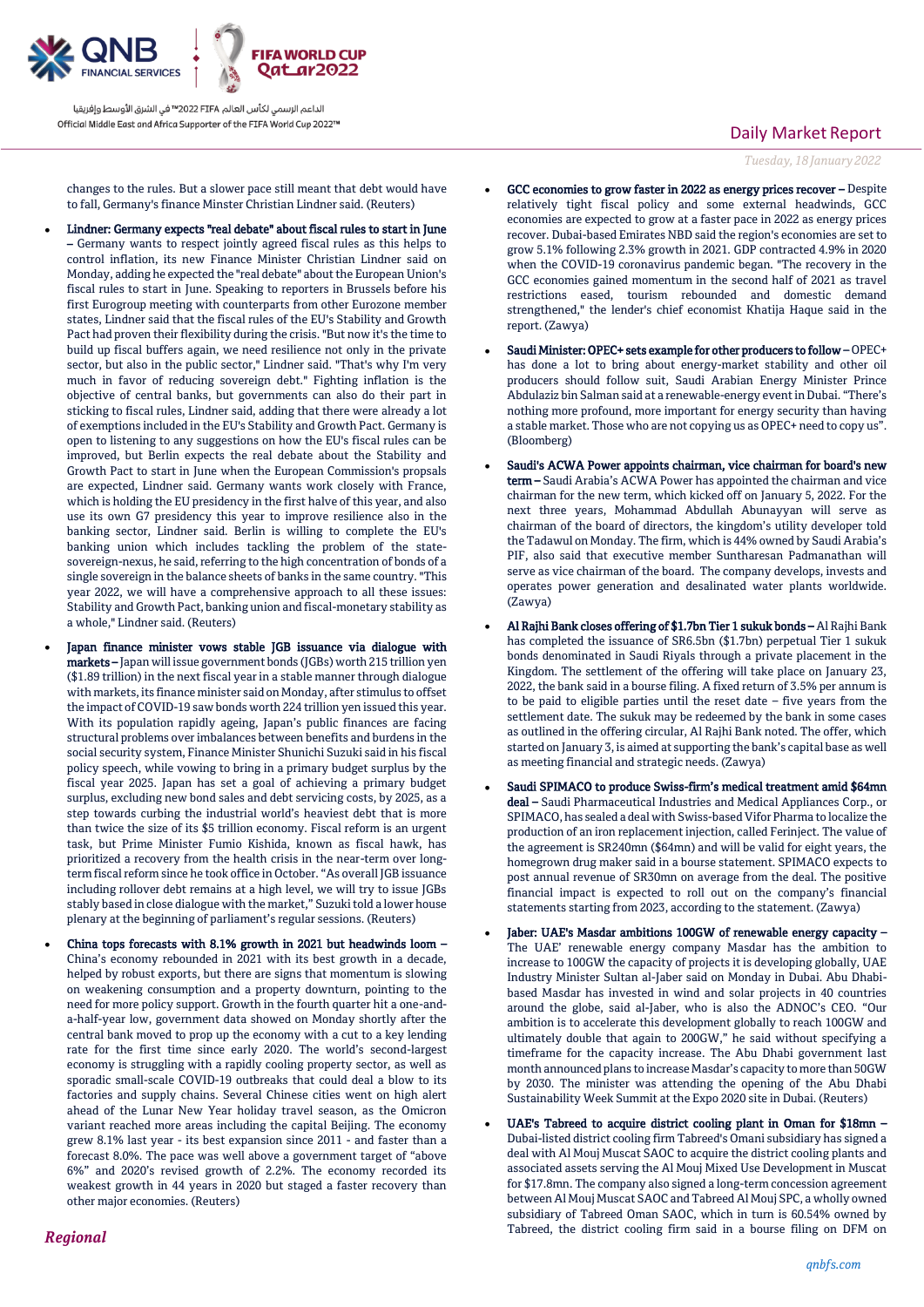

changes to the rules. But a slower pace still meant that debt would have to fall, Germany's finance Minster Christian Lindner said. (Reuters)

- Lindner: Germany expects "real debate" about fiscal rules to start in June – Germany wants to respect jointly agreed fiscal rules as this helps to control inflation, its new Finance Minister Christian Lindner said on Monday, adding he expected the "real debate" about the European Union's fiscal rules to start in June. Speaking to reporters in Brussels before his first Eurogroup meeting with counterparts from other Eurozone member states, Lindner said that the fiscal rules of the EU's Stability and Growth Pact had proven their flexibility during the crisis. "But now it's the time to build up fiscal buffers again, we need resilience not only in the private sector, but also in the public sector," Lindner said. "That's why I'm very much in favor of reducing sovereign debt." Fighting inflation is the objective of central banks, but governments can also do their part in sticking to fiscal rules, Lindner said, adding that there were already a lot of exemptions included in the EU's Stability and Growth Pact. Germany is open to listening to any suggestions on how the EU's fiscal rules can be improved, but Berlin expects the real debate about the Stability and Growth Pact to start in June when the European Commission's propsals are expected, Lindner said. Germany wants work closely with France, which is holding the EU presidency in the first halve of this year, and also use its own G7 presidency this year to improve resilience also in the banking sector, Lindner said. Berlin is willing to complete the EU's banking union which includes tackling the problem of the statesovereign-nexus, he said, referring to the high concentration of bonds of a single sovereign in the balance sheets of banks in the same country. "This year 2022, we will have a comprehensive approach to all these issues: Stability and Growth Pact, banking union and fiscal-monetary stability as a whole," Lindner said. (Reuters)
- Japan finance minister vows stable JGB issuance via dialogue with markets – Japan will issue government bonds (JGBs) worth 215 trillion yen (\$1.89 trillion) in the next fiscal year in a stable manner through dialogue with markets, its finance minister said on Monday, after stimulus to offset the impact of COVID-19 saw bonds worth 224 trillion yen issued this year. With its population rapidly ageing, Japan's public finances are facing structural problems over imbalances between benefits and burdens in the social security system, Finance Minister Shunichi Suzuki said in his fiscal policy speech, while vowing to bring in a primary budget surplus by the fiscal year 2025. Japan has set a goal of achieving a primary budget surplus, excluding new bond sales and debt servicing costs, by 2025, as a step towards curbing the industrial world's heaviest debt that is more than twice the size of its \$5 trillion economy. Fiscal reform is an urgent task, but Prime Minister Fumio Kishida, known as fiscal hawk, has prioritized a recovery from the health crisis in the near-term over longterm fiscal reform since he took office in October. "As overall JGB issuance including rollover debt remains at a high level, we will try to issue JGBs stably based in close dialogue with the market," Suzuki told a lower house plenary at the beginning of parliament's regular sessions. (Reuters)
- China tops forecasts with 8.1% growth in 2021 but headwinds loom China's economy rebounded in 2021 with its best growth in a decade, helped by robust exports, but there are signs that momentum is slowing on weakening consumption and a property downturn, pointing to the need for more policy support. Growth in the fourth quarter hit a one-anda-half-year low, government data showed on Monday shortly after the central bank moved to prop up the economy with a cut to a key lending rate for the first time since early 2020. The world's second-largest economy is struggling with a rapidly cooling property sector, as well as sporadic small-scale COVID-19 outbreaks that could deal a blow to its factories and supply chains. Several Chinese cities went on high alert ahead of the Lunar New Year holiday travel season, as the Omicron variant reached more areas including the capital Beijing. The economy grew 8.1% last year - its best expansion since 2011 - and faster than a forecast 8.0%. The pace was well above a government target of "above 6%" and 2020's revised growth of 2.2%. The economy recorded its weakest growth in 44 years in 2020 but staged a faster recovery than other major economies. (Reuters)

# Daily Market Report

*Tuesday, 18 January2022*

- GCC economies to grow faster in 2022 as energy prices recover Despite relatively tight fiscal policy and some external headwinds, GCC economies are expected to grow at a faster pace in 2022 as energy prices recover. Dubai-based Emirates NBD said the region's economies are set to grow 5.1% following 2.3% growth in 2021. GDP contracted 4.9% in 2020 when the COVID-19 coronavirus pandemic began. "The recovery in the GCC economies gained momentum in the second half of 2021 as travel restrictions eased, tourism rebounded and domestic demand strengthened," the lender's chief economist Khatija Haque said in the report. (Zawya)
- Saudi Minister: OPEC+ sets example for other producers to follow OPEC+ has done a lot to bring about energy-market stability and other oil producers should follow suit, Saudi Arabian Energy Minister Prince Abdulaziz bin Salman said at a renewable-energy event in Dubai. "There's nothing more profound, more important for energy security than having a stable market. Those who are not copying us as OPEC+ need to copy us". (Bloomberg)
- Saudi's ACWA Power appoints chairman, vice chairman for board's new term – Saudi Arabia's ACWA Power has appointed the chairman and vice chairman for the new term, which kicked off on January 5, 2022. For the next three years, Mohammad Abdullah Abunayyan will serve as chairman of the board of directors, the kingdom's utility developer told the Tadawul on Monday. The firm, which is 44% owned by Saudi Arabia's PIF, also said that executive member Suntharesan Padmanathan will serve as vice chairman of the board. The company develops, invests and operates power generation and desalinated water plants worldwide. (Zawya)
- Al Rajhi Bank closes offering of \$1.7bn Tier 1 sukuk bonds Al Rajhi Bank has completed the issuance of SR6.5bn (\$1.7bn) perpetual Tier 1 sukuk bonds denominated in Saudi Riyals through a private placement in the Kingdom. The settlement of the offering will take place on January 23, 2022, the bank said in a bourse filing. A fixed return of 3.5% per annum is to be paid to eligible parties until the reset date – five years from the settlement date. The sukuk may be redeemed by the bank in some cases as outlined in the offering circular, Al Rajhi Bank noted. The offer, which started on January 3, is aimed at supporting the bank's capital base as well as meeting financial and strategic needs. (Zawya)
- Saudi SPIMACO to produce Swiss-firm's medical treatment amid \$64mn deal – Saudi Pharmaceutical Industries and Medical Appliances Corp., or SPIMACO, has sealed a deal with Swiss-based Vifor Pharma to localize the production of an iron replacement injection, called Ferinject. The value of the agreement is SR240mn (\$64mn) and will be valid for eight years, the homegrown drug maker said in a bourse statement. SPIMACO expects to post annual revenue of SR30mn on average from the deal. The positive financial impact is expected to roll out on the company's financial statements starting from 2023, according to the statement. (Zawya)
- Jaber: UAE's Masdar ambitions 100GW of renewable energy capacity The UAE' renewable energy company Masdar has the ambition to increase to 100GW the capacity of projects it is developing globally, UAE Industry Minister Sultan al-Jaber said on Monday in Dubai. Abu Dhabibased Masdar has invested in wind and solar projects in 40 countries around the globe, said al-Jaber, who is also the ADNOC's CEO. "Our ambition is to accelerate this development globally to reach 100GW and ultimately double that again to 200GW," he said without specifying a timeframe for the capacity increase. The Abu Dhabi government last month announced plans to increase Masdar's capacity to more than 50GW by 2030. The minister was attending the opening of the Abu Dhabi Sustainability Week Summit at the Expo 2020 site in Dubai. (Reuters)
- UAE's Tabreed to acquire district cooling plant in Oman for \$18mn Dubai-listed district cooling firm Tabreed's Omani subsidiary has signed a deal with Al Mouj Muscat SAOC to acquire the district cooling plants and associated assets serving the Al Mouj Mixed Use Development in Muscat for \$17.8mn. The company also signed a long-term concession agreement between Al Mouj Muscat SAOC and Tabreed Al Mouj SPC, a wholly owned subsidiary of Tabreed Oman SAOC, which in turn is 60.54% owned by Tabreed, the district cooling firm said in a bourse filing on DFM on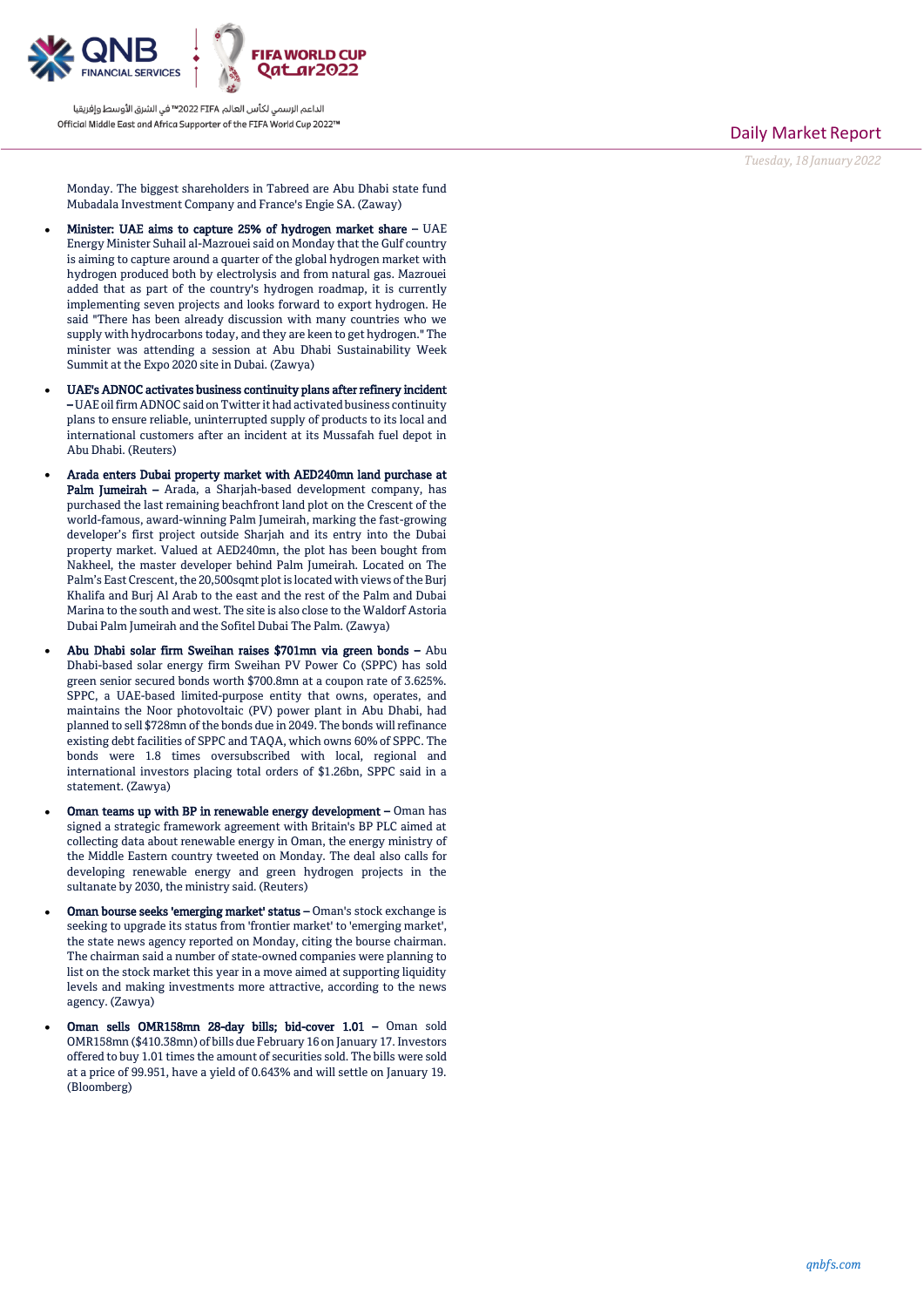

Daily Market Report

*Tuesday, 18 January2022*

Monday. The biggest shareholders in Tabreed are Abu Dhabi state fund Mubadala Investment Company and France's Engie SA. (Zaway)

- Minister: UAE aims to capture 25% of hydrogen market share UAE Energy Minister Suhail al-Mazrouei said on Monday that the Gulf country is aiming to capture around a quarter of the global hydrogen market with hydrogen produced both by electrolysis and from natural gas. Mazrouei added that as part of the country's hydrogen roadmap, it is currently implementing seven projects and looks forward to export hydrogen. He said "There has been already discussion with many countries who we supply with hydrocarbons today, and they are keen to get hydrogen." The minister was attending a session at Abu Dhabi Sustainability Week Summit at the Expo 2020 site in Dubai. (Zawya)
- UAE's ADNOC activates business continuity plans after refinery incident – UAE oil firm ADNOC said on Twitter it had activated business continuity plans to ensure reliable, uninterrupted supply of products to its local and international customers after an incident at its Mussafah fuel depot in Abu Dhabi. (Reuters)
- Arada enters Dubai property market with AED240mn land purchase at Palm Jumeirah – Arada, a Sharjah-based development company, has purchased the last remaining beachfront land plot on the Crescent of the world-famous, award-winning Palm Jumeirah, marking the fast-growing developer's first project outside Sharjah and its entry into the Dubai property market. Valued at AED240mn, the plot has been bought from Nakheel, the master developer behind Palm Jumeirah. Located on The Palm's East Crescent, the 20,500 sqmt plot is located with views of the Buri Khalifa and Burj Al Arab to the east and the rest of the Palm and Dubai Marina to the south and west. The site is also close to the Waldorf Astoria Dubai Palm Jumeirah and the Sofitel Dubai The Palm. (Zawya)
- Abu Dhabi solar firm Sweihan raises \$701mn via green bonds Abu Dhabi-based solar energy firm Sweihan PV Power Co (SPPC) has sold green senior secured bonds worth \$700.8mn at a coupon rate of 3.625%. SPPC, a UAE-based limited-purpose entity that owns, operates, and maintains the Noor photovoltaic (PV) power plant in Abu Dhabi, had planned to sell \$728mn of the bonds due in 2049. The bonds will refinance existing debt facilities of SPPC and TAQA, which owns 60% of SPPC. The bonds were 1.8 times oversubscribed with local, regional and international investors placing total orders of \$1.26bn, SPPC said in a statement. (Zawya)
- Oman teams up with BP in renewable energy development Oman has signed a strategic framework agreement with Britain's BP PLC aimed at collecting data about renewable energy in Oman, the energy ministry of the Middle Eastern country tweeted on Monday. The deal also calls for developing renewable energy and green hydrogen projects in the sultanate by 2030, the ministry said. (Reuters)
- Oman bourse seeks 'emerging market' status Oman's stock exchange is seeking to upgrade its status from 'frontier market' to 'emerging market', the state news agency reported on Monday, citing the bourse chairman. The chairman said a number of state-owned companies were planning to list on the stock market this year in a move aimed at supporting liquidity levels and making investments more attractive, according to the news agency. (Zawya)
- Oman sells OMR158mn 28-day bills; bid-cover 1.01 Oman sold OMR158mn (\$410.38mn) of bills due February 16 on January 17. Investors offered to buy 1.01 times the amount of securities sold. The bills were sold at a price of 99.951, have a yield of 0.643% and will settle on January 19. (Bloomberg)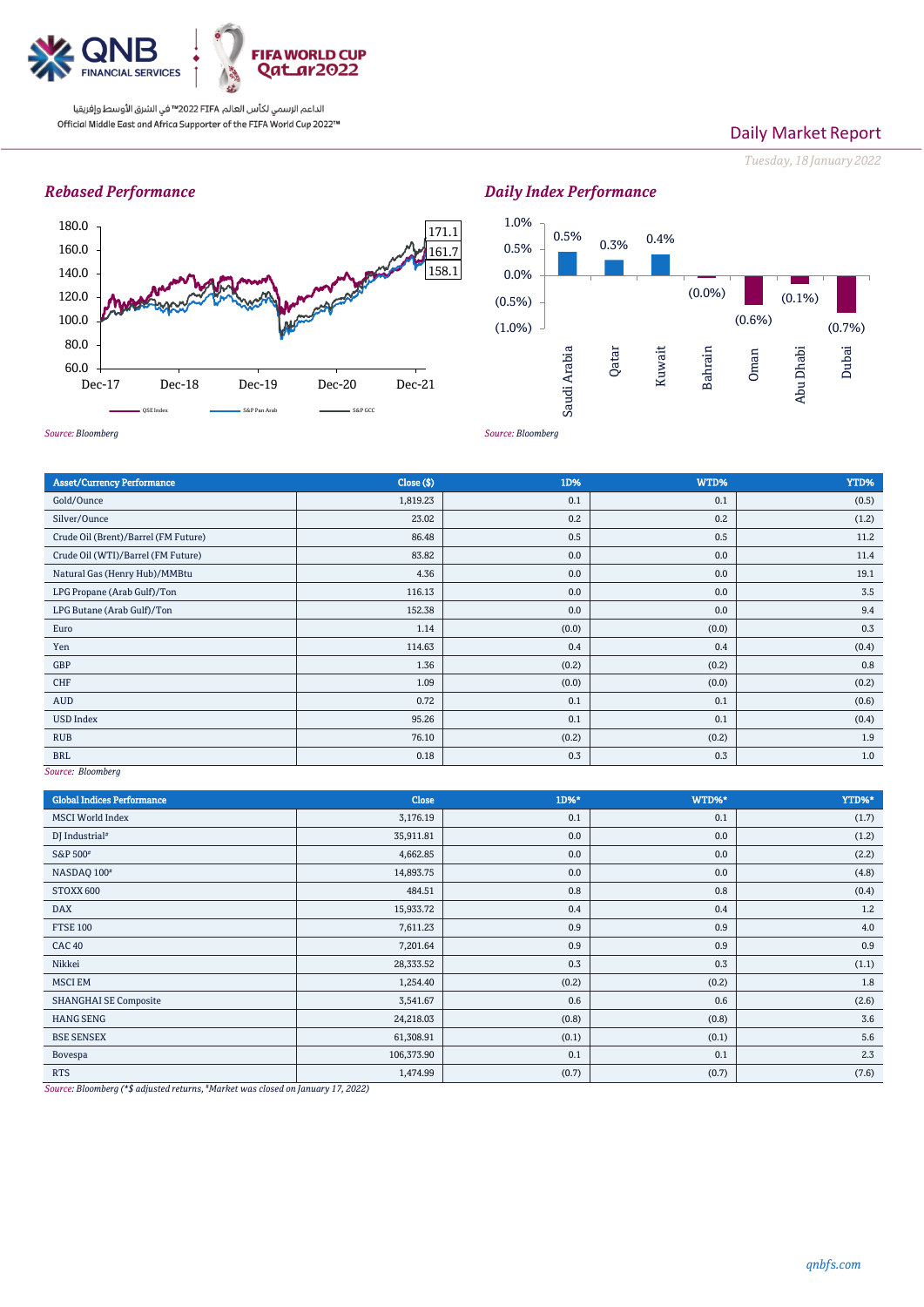

# Daily Market Report

*Tuesday, 18 January2022*

## *Rebased Performance*



## *Daily Index Performance*



| <b>Asset/Currency Performance</b>    | Close (\$) | 1D%   | WTD%  | YTD%  |
|--------------------------------------|------------|-------|-------|-------|
| Gold/Ounce                           | 1,819.23   | 0.1   | 0.1   | (0.5) |
| Silver/Ounce                         | 23.02      | 0.2   | 0.2   | (1.2) |
| Crude Oil (Brent)/Barrel (FM Future) | 86.48      | 0.5   | 0.5   | 11.2  |
| Crude Oil (WTI)/Barrel (FM Future)   | 83.82      | 0.0   | 0.0   | 11.4  |
| Natural Gas (Henry Hub)/MMBtu        | 4.36       | 0.0   | 0.0   | 19.1  |
| LPG Propane (Arab Gulf)/Ton          | 116.13     | 0.0   | 0.0   | 3.5   |
| LPG Butane (Arab Gulf)/Ton           | 152.38     | 0.0   | 0.0   | 9.4   |
| Euro                                 | 1.14       | (0.0) | (0.0) | 0.3   |
| Yen                                  | 114.63     | 0.4   | 0.4   | (0.4) |
| GBP                                  | 1.36       | (0.2) | (0.2) | 0.8   |
| <b>CHF</b>                           | 1.09       | (0.0) | (0.0) | (0.2) |
| AUD                                  | 0.72       | 0.1   | 0.1   | (0.6) |
| <b>USD Index</b>                     | 95.26      | 0.1   | 0.1   | (0.4) |
| <b>RUB</b>                           | 76.10      | (0.2) | (0.2) | 1.9   |
| <b>BRL</b>                           | 0.18       | 0.3   | 0.3   | 1.0   |

### *Source: Bloomberg*

| <b>Global Indices Performance</b> | <b>Close</b> | 1D%*  | WTD%* | YTD%* |
|-----------------------------------|--------------|-------|-------|-------|
| <b>MSCI World Index</b>           | 3,176.19     | 0.1   | 0.1   | (1.7) |
| DJ Industrial <sup>#</sup>        | 35,911.81    | 0.0   | 0.0   | (1.2) |
| S&P 500#                          | 4,662.85     | 0.0   | 0.0   | (2.2) |
| NASDAQ 100 <sup>#</sup>           | 14,893.75    | 0.0   | 0.0   | (4.8) |
| STOXX 600                         | 484.51       | 0.8   | 0.8   | (0.4) |
| <b>DAX</b>                        | 15,933.72    | 0.4   | 0.4   | 1.2   |
| <b>FTSE 100</b>                   | 7,611.23     | 0.9   | 0.9   | 4.0   |
| CAC <sub>40</sub>                 | 7,201.64     | 0.9   | 0.9   | 0.9   |
| Nikkei                            | 28,333.52    | 0.3   | 0.3   | (1.1) |
| <b>MSCI EM</b>                    | 1,254.40     | (0.2) | (0.2) | 1.8   |
| <b>SHANGHAI SE Composite</b>      | 3,541.67     | 0.6   | 0.6   | (2.6) |
| <b>HANG SENG</b>                  | 24,218.03    | (0.8) | (0.8) | 3.6   |
| <b>BSE SENSEX</b>                 | 61,308.91    | (0.1) | (0.1) | 5.6   |
| Bovespa                           | 106,373.90   | 0.1   | 0.1   | 2.3   |
| <b>RTS</b>                        | 1,474.99     | (0.7) | (0.7) | (7.6) |

*Source: Bloomberg (\*\$ adjusted returns,*  #*Market was closed on January 17, 2022)*